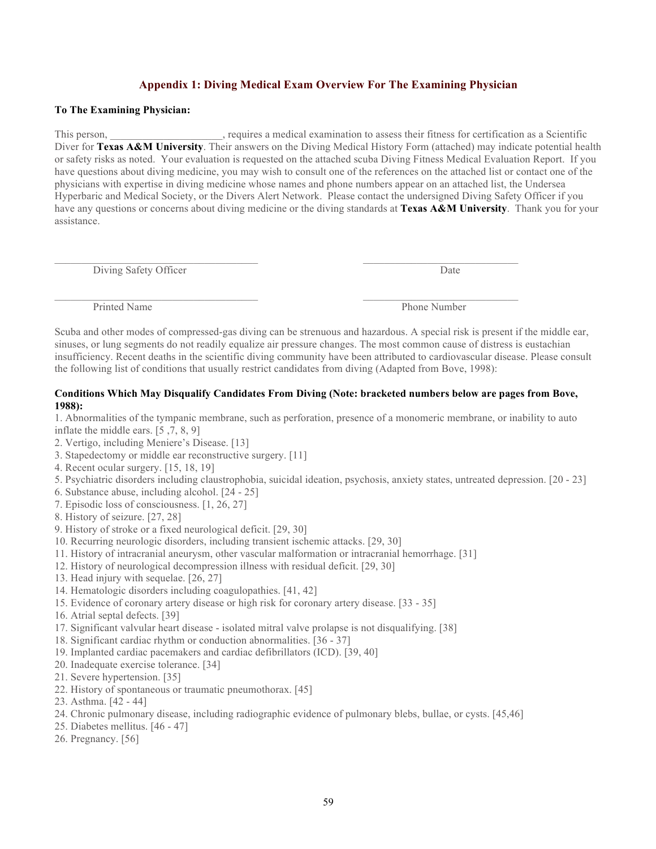## **Appendix 1: Diving Medical Exam Overview For The Examining Physician**

## **To The Examining Physician:**

This person, \_\_\_\_\_\_\_\_\_\_\_\_\_\_\_\_\_\_\_\_\_, requires a medical examination to assess their fitness for certification as a Scientific Diver for **Texas A&M University**. Their answers on the Diving Medical History Form (attached) may indicate potential health or safety risks as noted. Your evaluation is requested on the attached scuba Diving Fitness Medical Evaluation Report. If you have questions about diving medicine, you may wish to consult one of the references on the attached list or contact one of the physicians with expertise in diving medicine whose names and phone numbers appear on an attached list, the Undersea Hyperbaric and Medical Society, or the Divers Alert Network. Please contact the undersigned Diving Safety Officer if you have any questions or concerns about diving medicine or the diving standards at **Texas A&M University**. Thank you for your assistance.

Diving Safety Officer Date

Printed Name Phone Number

Scuba and other modes of compressed-gas diving can be strenuous and hazardous. A special risk is present if the middle ear, sinuses, or lung segments do not readily equalize air pressure changes. The most common cause of distress is eustachian insufficiency. Recent deaths in the scientific diving community have been attributed to cardiovascular disease. Please consult the following list of conditions that usually restrict candidates from diving (Adapted from Bove, 1998):

 $\mathcal{L}_\text{max}$ 

 $\_$  , and the set of the set of the set of the set of the set of the set of the set of the set of the set of the set of the set of the set of the set of the set of the set of the set of the set of the set of the set of th

## **Conditions Which May Disqualify Candidates From Diving (Note: bracketed numbers below are pages from Bove, 1988):**

1. Abnormalities of the tympanic membrane, such as perforation, presence of a monomeric membrane, or inability to auto inflate the middle ears. [5 ,7, 8, 9]

- 2. Vertigo, including Meniere's Disease. [13]
- 3. Stapedectomy or middle ear reconstructive surgery. [11]
- 4. Recent ocular surgery. [15, 18, 19]
- 5. Psychiatric disorders including claustrophobia, suicidal ideation, psychosis, anxiety states, untreated depression. [20 23]
- 6. Substance abuse, including alcohol. [24 25]
- 7. Episodic loss of consciousness. [1, 26, 27]
- 8. History of seizure. [27, 28]
- 9. History of stroke or a fixed neurological deficit. [29, 30]
- 10. Recurring neurologic disorders, including transient ischemic attacks. [29, 30]
- 11. History of intracranial aneurysm, other vascular malformation or intracranial hemorrhage. [31]
- 12. History of neurological decompression illness with residual deficit. [29, 30]
- 13. Head injury with sequelae. [26, 27]
- 14. Hematologic disorders including coagulopathies. [41, 42]
- 15. Evidence of coronary artery disease or high risk for coronary artery disease. [33 35]
- 16. Atrial septal defects. [39]
- 17. Significant valvular heart disease isolated mitral valve prolapse is not disqualifying. [38]
- 18. Significant cardiac rhythm or conduction abnormalities. [36 37]
- 19. Implanted cardiac pacemakers and cardiac defibrillators (ICD). [39, 40]
- 20. Inadequate exercise tolerance. [34]
- 21. Severe hypertension. [35]
- 22. History of spontaneous or traumatic pneumothorax. [45]
- 23. Asthma. [42 44]
- 24. Chronic pulmonary disease, including radiographic evidence of pulmonary blebs, bullae, or cysts. [45,46]
- 25. Diabetes mellitus. [46 47]
- 26. Pregnancy. [56]